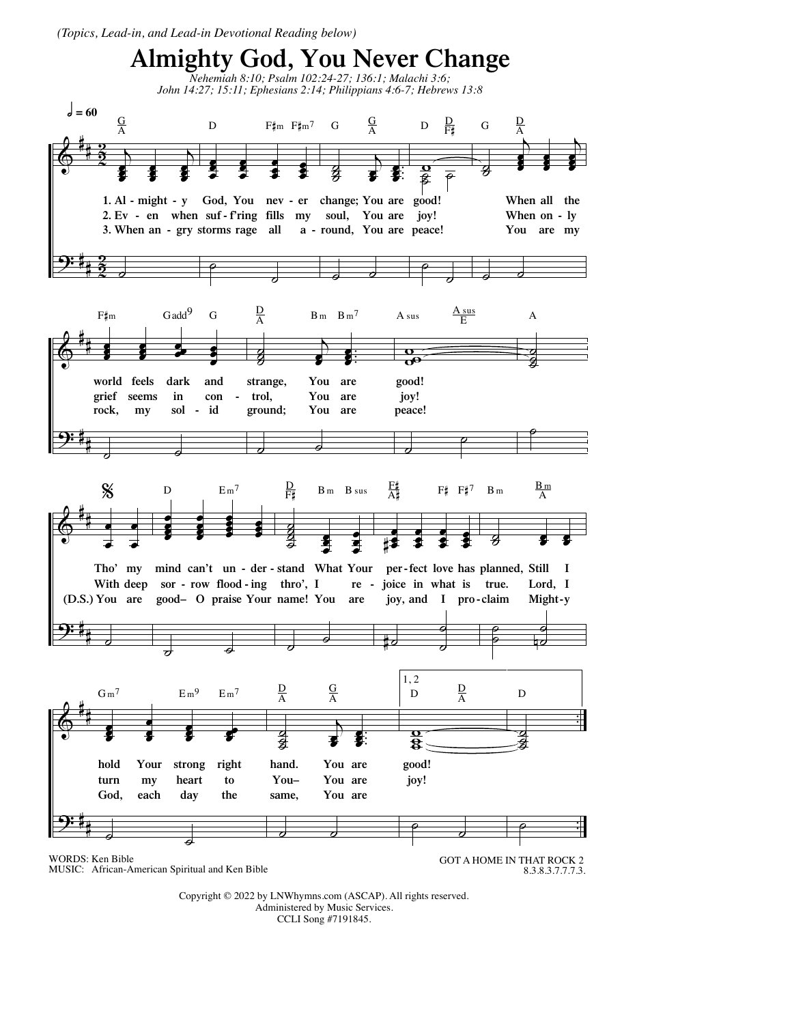*(Topics, Lead-in, and Lead-in Devotional Reading below)*



Copyright © 2022 by LNWhymns.com (ASCAP). All rights reserved. Administered by Music Services. CCLI Song #7191845.